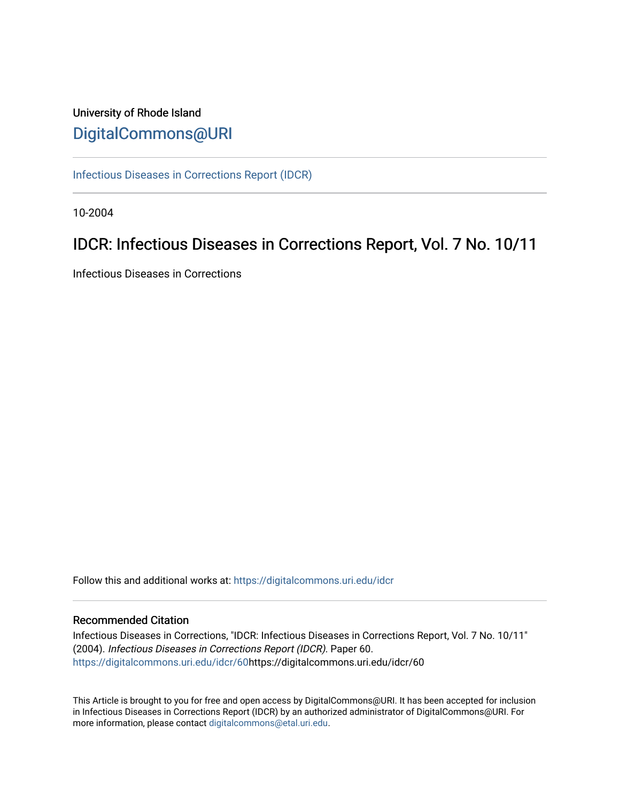# University of Rhode Island [DigitalCommons@URI](https://digitalcommons.uri.edu/)

[Infectious Diseases in Corrections Report \(IDCR\)](https://digitalcommons.uri.edu/idcr)

10-2004

# IDCR: Infectious Diseases in Corrections Report, Vol. 7 No. 10/11

Infectious Diseases in Corrections

Follow this and additional works at: [https://digitalcommons.uri.edu/idcr](https://digitalcommons.uri.edu/idcr?utm_source=digitalcommons.uri.edu%2Fidcr%2F60&utm_medium=PDF&utm_campaign=PDFCoverPages)

## Recommended Citation

Infectious Diseases in Corrections, "IDCR: Infectious Diseases in Corrections Report, Vol. 7 No. 10/11" (2004). Infectious Diseases in Corrections Report (IDCR). Paper 60. [https://digitalcommons.uri.edu/idcr/60h](https://digitalcommons.uri.edu/idcr/60?utm_source=digitalcommons.uri.edu%2Fidcr%2F60&utm_medium=PDF&utm_campaign=PDFCoverPages)ttps://digitalcommons.uri.edu/idcr/60

This Article is brought to you for free and open access by DigitalCommons@URI. It has been accepted for inclusion in Infectious Diseases in Corrections Report (IDCR) by an authorized administrator of DigitalCommons@URI. For more information, please contact [digitalcommons@etal.uri.edu.](mailto:digitalcommons@etal.uri.edu)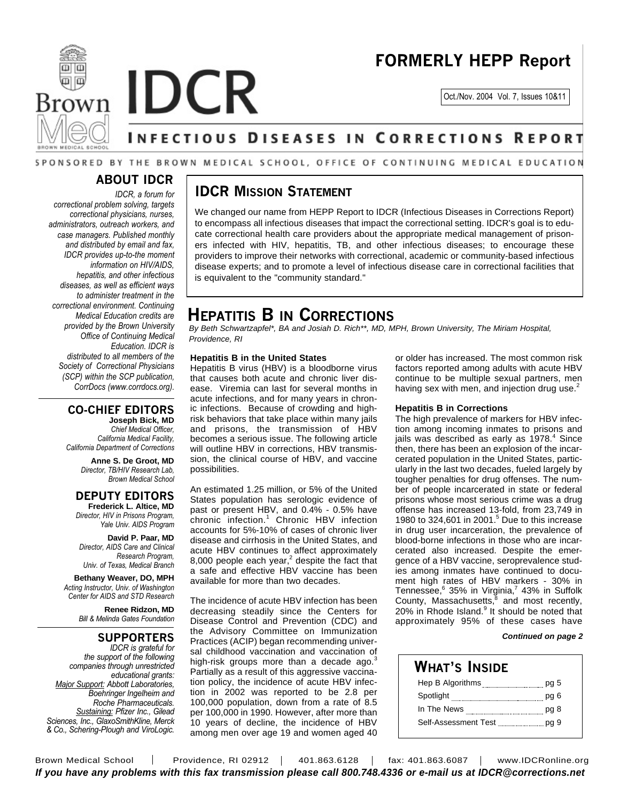



Oct./Nov. 2004 Vol. 7, Issues 10&11

# **INFECTIOUS DISEASES IN CORRECTIONS REPORT**

### SPONSORED BY THE BROWN MEDICAL SCHOOL, OFFICE OF CONTINUING MEDICAL EDUCATION

## **ABOUT IDCR**

*IDCR, a forum for correctional problem solving, targets correctional physicians, nurses, administrators, outreach workers, and case managers. Published monthly and distributed by email and fax, IDCR provides up-to-the moment information on HIV/AIDS, hepatitis, and other infectious diseases, as well as efficient ways to administer treatment in the correctional environment. Continuing Medical Education credits are provided by the Brown University Office of Continuing Medical Education. IDCR is distributed to all members of the Society of Correctional Physicians (SCP) within the SCP publication, CorrDocs (www.corrdocs.org).*

## **CO-CHIEF EDITORS**

**Joseph Bick, MD** *Chief Medical Officer, California Medical Facility, California Department of Corrections*

> **Anne S. De Groot, MD** *Director, TB/HIV Research Lab, Brown Medical School*

#### **DEPUTY EDITORS Frederick L. Altice, MD**

*Director, HIV in Prisons Program, Yale Univ. AIDS Program*

**David P. Paar, MD** *Director, AIDS Care and Clinical Research Program, Univ. of Texas, Medical Branch*

**Bethany Weaver, DO, MPH** *Acting Instructor, Univ. of Washington Center for AIDS and STD Research*

> **Renee Ridzon, MD** *Bill & Melinda Gates Foundation*

## **SUPPORTERS**

*IDCR is grateful for the support of the following companies through unrestricted educational grants: Major Support: Abbott Laboratories, Boehringer Ingelheim and Roche Pharmaceuticals. Sustaining: Pfizer Inc., Gilead Sciences, Inc., GlaxoSmithKline, Merck & Co., Schering-Plough and ViroLogic.*

## **IDCR MISSION STATEMENT**

We changed our name from HEPP Report to IDCR (Infectious Diseases in Corrections Report) to encompass all infectious diseases that impact the correctional setting. IDCR's goal is to educate correctional health care providers about the appropriate medical management of prisoners infected with HIV, hepatitis, TB, and other infectious diseases; to encourage these providers to improve their networks with correctional, academic or community-based infectious disease experts; and to promote a level of infectious disease care in correctional facilities that is equivalent to the "community standard."

# **HEPATITIS B IN CORRECTIONS**

*By Beth Schwartzapfel\*, BA and Josiah D. Rich\*\*, MD, MPH, Brown University, The Miriam Hospital, Providence, RI*

#### **Hepatitis B in the United States**

Hepatitis B virus (HBV) is a bloodborne virus that causes both acute and chronic liver disease. Viremia can last for several months in acute infections, and for many years in chronic infections. Because of crowding and highrisk behaviors that take place within many jails and prisons, the transmission of HBV becomes a serious issue. The following article will outline HBV in corrections, HBV transmission, the clinical course of HBV, and vaccine possibilities.

An estimated 1.25 million, or 5% of the United States population has serologic evidence of past or present HBV, and 0.4% - 0.5% have chronic infection. <sup>1</sup> Chronic HBV infection accounts for 5%-10% of cases of chronic liver disease and cirrhosis in the United States, and acute HBV continues to affect approximately 8,000 people each year, $2$  despite the fact that a safe and effective HBV vaccine has been available for more than two decades.

The incidence of acute HBV infection has been decreasing steadily since the Centers for Disease Control and Prevention (CDC) and the Advisory Committee on Immunization Practices (ACIP) began recommending universal childhood vaccination and vaccination of high-risk groups more than a decade ago.<sup>3</sup> Partially as a result of this aggressive vaccination policy, the incidence of acute HBV infection in 2002 was reported to be 2.8 per 100,000 population, down from a rate of 8.5 per 100,000 in 1990. However, after more than 10 years of decline, the incidence of HBV among men over age 19 and women aged 40

or older has increased. The most common risk factors reported among adults with acute HBV continue to be multiple sexual partners, men having sex with men, and injection drug use. $^{2}$ 

#### **Hepatitis B in Corrections**

The high prevalence of markers for HBV infection among incoming inmates to prisons and jails was described as early as 1978. <sup>4</sup> Since then, there has been an explosion of the incarcerated population in the United States, particularly in the last two decades, fueled largely by tougher penalties for drug offenses. The number of people incarcerated in state or federal prisons whose most serious crime was a drug offense has increased 13-fold, from 23,749 in 1980 to 324,601 in 2001. <sup>5</sup> Due to this increase in drug user incarceration, the prevalence of blood-borne infections in those who are incarcerated also increased. Despite the emergence of a HBV vaccine, seroprevalence studies among inmates have continued to document high rates of HBV markers - 30% in Tennessee, 6 35% in Virginia, 7 43% in Suffolk County, Massachusetts,<sup>8</sup> and most recently, 20% in Rhode Island.<sup>9</sup> It should be noted that approximately 95% of these cases have

#### *Continued on page 2*

## **WHAT'S INSIDE** Hep B Algorithms **manually and paying the B Algorithms** pg 5 Spotlight **manual control of the Spotlight** pg 6 In The News pg 8 Self-Assessment Test pg 9

Brown Medical School | Providence, RI 02912 | 401.863.6128 | fax: 401.863.6087 | www.IDCRonline.org *If you have any problems with this fax transmission please call 800.748.4336 or e-mail us at IDCR@corrections.net*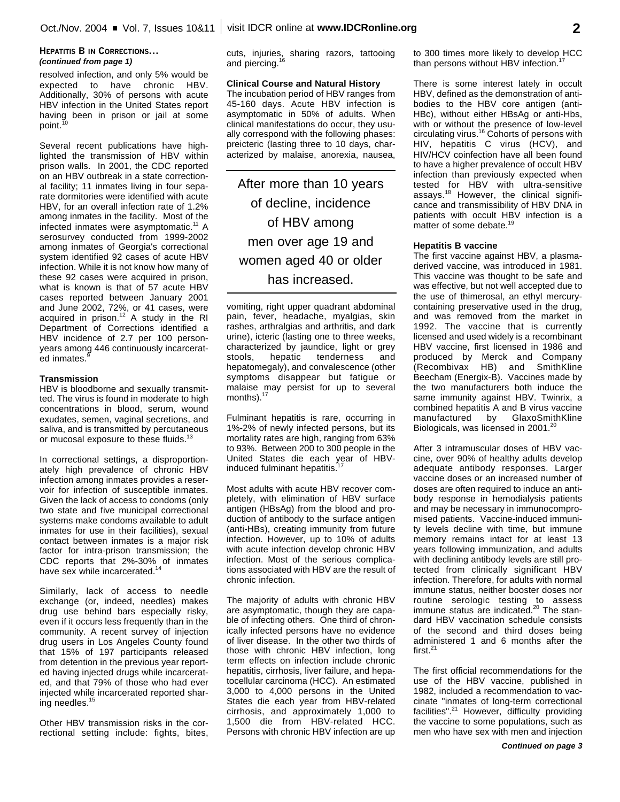#### **HEPATITIS B IN CORRECTIONS...** *(continued from page 1)*

resolved infection, and only 5% would be expected to have chronic HBV. Additionally, 30% of persons with acute HBV infection in the United States report having been in prison or jail at some point.<sup>10</sup>

Several recent publications have highlighted the transmission of HBV within prison walls. In 2001, the CDC reported on an HBV outbreak in a state correctional facility; 11 inmates living in four separate dormitories were identified with acute HBV, for an overall infection rate of 1.2% among inmates in the facility. Most of the infected inmates were asymptomatic. <sup>11</sup> A serosurvey conducted from 1999-2002 among inmates of Georgia's correctional system identified 92 cases of acute HBV infection. While it is not know how many of these 92 cases were acquired in prison, what is known is that of 57 acute HBV cases reported between January 2001 and June 2002, 72%, or 41 cases, were acquired in prison.<sup>12</sup> A study in the RI Department of Corrections identified a HBV incidence of 2.7 per 100 personyears among 446 continuously incarcerated inmates.<sup>9</sup>

#### **Transmission**

HBV is bloodborne and sexually transmitted. The virus is found in moderate to high concentrations in blood, serum, wound exudates, semen, vaginal secretions, and saliva, and is transmitted by percutaneous or mucosal exposure to these fluids.<sup>13</sup>

In correctional settings, a disproportionately high prevalence of chronic HBV infection among inmates provides a reservoir for infection of susceptible inmates. Given the lack of access to condoms (only two state and five municipal correctional systems make condoms available to adult inmates for use in their facilities), sexual contact between inmates is a major risk factor for intra-prison transmission; the CDC reports that 2%-30% of inmates have sex while incarcerated.<sup>14</sup>

Similarly, lack of access to needle exchange (or, indeed, needles) makes drug use behind bars especially risky, even if it occurs less frequently than in the community. A recent survey of injection drug users in Los Angeles County found that 15% of 197 participants released from detention in the previous year reported having injected drugs while incarcerated, and that 79% of those who had ever injected while incarcerated reported sharing needles.<sup>15</sup>

Other HBV transmission risks in the correctional setting include: fights, bites, cuts, injuries, sharing razors, tattooing and piercing.<sup>16</sup>

#### **Clinical Course and Natural History**

The incubation period of HBV ranges from 45-160 days. Acute HBV infection is asymptomatic in 50% of adults. When clinical manifestations do occur, they usually correspond with the following phases: preicteric (lasting three to 10 days, characterized by malaise, anorexia, nausea,

After more than 10 years of decline, incidence of HBV among men over age 19 and women aged 40 or older has increased.

vomiting, right upper quadrant abdominal pain, fever, headache, myalgias, skin rashes, arthralgias and arthritis, and dark urine), icteric (lasting one to three weeks, characterized by jaundice, light or grey stools, hepatic tenderness and hepatomegaly), and convalescence (other symptoms disappear but fatigue or malaise may persist for up to several months). $^{17}$ 

Fulminant hepatitis is rare, occurring in 1%-2% of newly infected persons, but its mortality rates are high, ranging from 63% to 93%. Between 200 to 300 people in the United States die each year of HBVinduced fulminant hepatitis. 17

Most adults with acute HBV recover completely, with elimination of HBV surface antigen (HBsAg) from the blood and production of antibody to the surface antigen (anti-HBs), creating immunity from future infection. However, up to 10% of adults with acute infection develop chronic HBV infection. Most of the serious complications associated with HBV are the result of chronic infection.

The majority of adults with chronic HBV are asymptomatic, though they are capable of infecting others. One third of chronically infected persons have no evidence of liver disease. In the other two thirds of those with chronic HBV infection, long term effects on infection include chronic hepatitis, cirrhosis, liver failure, and hepatocellular carcinoma (HCC). An estimated 3,000 to 4,000 persons in the United States die each year from HBV-related cirrhosis, and approximately 1,000 to 1,500 die from HBV-related HCC. Persons with chronic HBV infection are up to 300 times more likely to develop HCC than persons without HBV infection.<sup>17</sup>

There is some interest lately in occult HBV, defined as the demonstration of antibodies to the HBV core antigen (anti-HBc), without either HBsAg or anti-Hbs, with or without the presence of low-level circulating virus. <sup>16</sup> Cohorts of persons with HIV, hepatitis C virus (HCV), and HIV/HCV coinfection have all been found to have a higher prevalence of occult HBV infection than previously expected when tested for HBV with ultra-sensitive assays.<sup>18</sup> However, the clinical significance and transmissibility of HBV DNA in patients with occult HBV infection is a matter of some debate.<sup>19</sup>

#### **Hepatitis B vaccine**

The first vaccine against HBV, a plasmaderived vaccine, was introduced in 1981. This vaccine was thought to be safe and was effective, but not well accepted due to the use of thimerosal, an ethyl mercurycontaining preservative used in the drug, and was removed from the market in 1992. The vaccine that is currently licensed and used widely is a recombinant HBV vaccine, first licensed in 1986 and produced by Merck and Company (Recombivax HB) and SmithKline Beecham (Energix-B). Vaccines made by the two manufacturers both induce the same immunity against HBV. Twinrix, a combined hepatitis A and B virus vaccine<br>manufactured by GlaxoSmithKline manufactured by Biologicals, was licensed in 2001.<sup>20</sup>

After 3 intramuscular doses of HBV vaccine, over 90% of healthy adults develop adequate antibody responses. Larger vaccine doses or an increased number of doses are often required to induce an antibody response in hemodialysis patients and may be necessary in immunocompromised patients. Vaccine-induced immunity levels decline with time, but immune memory remains intact for at least 13 years following immunization, and adults with declining antibody levels are still protected from clinically significant HBV infection. Therefore, for adults with normal immune status, neither booster doses nor routine serologic testing to assess immune status are indicated. 20 The standard HBV vaccination schedule consists of the second and third doses being administered 1 and 6 months after the first. 21

The first official recommendations for the use of the HBV vaccine, published in 1982, included a recommendation to vaccinate "inmates of long-term correctional facilities".<sup>21</sup> However, difficulty providing the vaccine to some populations, such as men who have sex with men and injection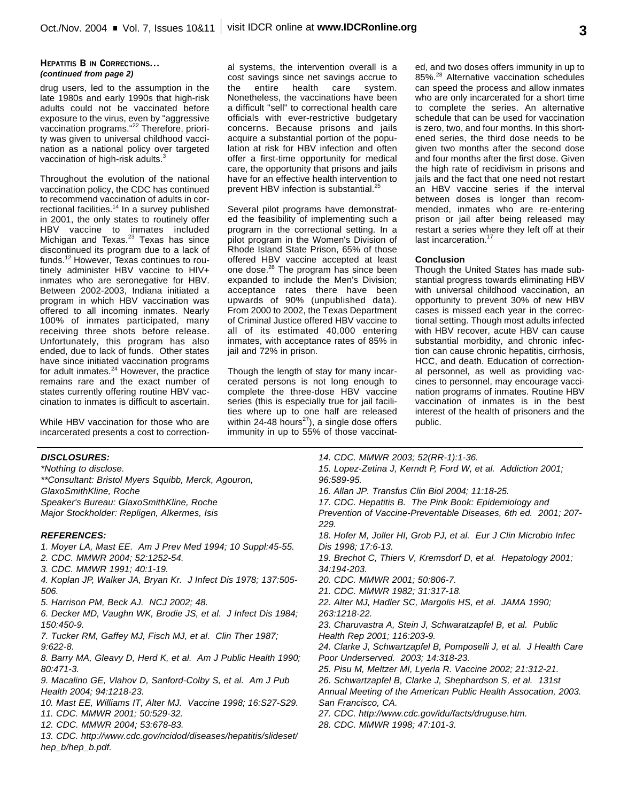#### **HEPATITIS B IN CORRECTIONS...** *(continued from page 2)*

drug users, led to the assumption in the late 1980s and early 1990s that high-risk adults could not be vaccinated before exposure to the virus, even by "aggressive vaccination programs." 22 Therefore, priority was given to universal childhood vaccination as a national policy over targeted vaccination of high-risk adults.<sup>3</sup>

Throughout the evolution of the national vaccination policy, the CDC has continued to recommend vaccination of adults in correctional facilities.<sup>14</sup> In a survey published in 2001, the only states to routinely offer HBV vaccine to inmates included Michigan and Texas.<sup>23</sup> Texas has since discontinued its program due to a lack of funds. <sup>12</sup> However, Texas continues to routinely administer HBV vaccine to HIV+ inmates who are seronegative for HBV. Between 2002-2003, Indiana initiated a program in which HBV vaccination was offered to all incoming inmates. Nearly 100% of inmates participated, many receiving three shots before release. Unfortunately, this program has also ended, due to lack of funds. Other states have since initiated vaccination programs for adult inmates.<sup>24</sup> However, the practice remains rare and the exact number of states currently offering routine HBV vaccination to inmates is difficult to ascertain.

While HBV vaccination for those who are incarcerated presents a cost to correctional systems, the intervention overall is a cost savings since net savings accrue to the entire health care system. Nonetheless, the vaccinations have been a difficult "sell" to correctional health care officials with ever-restrictive budgetary concerns. Because prisons and jails acquire a substantial portion of the population at risk for HBV infection and often offer a first-time opportunity for medical care, the opportunity that prisons and jails have for an effective health intervention to prevent HBV infection is substantial.<sup>25</sup>

Several pilot programs have demonstrated the feasibility of implementing such a program in the correctional setting. In a pilot program in the Women's Division of Rhode Island State Prison, 65% of those offered HBV vaccine accepted at least one dose.<sup>26</sup> The program has since been expanded to include the Men's Division; acceptance rates there have been upwards of 90% (unpublished data). From 2000 to 2002, the Texas Department of Criminal Justice offered HBV vaccine to all of its estimated 40,000 entering inmates, with acceptance rates of 85% in jail and 72% in prison.

Though the length of stay for many incarcerated persons is not long enough to complete the three-dose HBV vaccine series (this is especially true for jail facilities where up to one half are released within 24-48 hours<sup>27</sup>), a single dose offers immunity in up to 55% of those vaccinated, and two doses offers immunity in up to 85%. <sup>28</sup> Alternative vaccination schedules can speed the process and allow inmates who are only incarcerated for a short time to complete the series. An alternative schedule that can be used for vaccination is zero, two, and four months. In this shortened series, the third dose needs to be given two months after the second dose and four months after the first dose. Given the high rate of recidivism in prisons and jails and the fact that one need not restart an HBV vaccine series if the interval between doses is longer than recommended, inmates who are re-entering prison or jail after being released may restart a series where they left off at their last incarceration.<sup>17</sup>

#### **Conclusion**

Though the United States has made substantial progress towards eliminating HBV with universal childhood vaccination, an opportunity to prevent 30% of new HBV cases is missed each year in the correctional setting. Though most adults infected with HBV recover, acute HBV can cause substantial morbidity, and chronic infection can cause chronic hepatitis, cirrhosis, HCC, and death. Education of correctional personnel, as well as providing vaccines to personnel, may encourage vaccination programs of inmates. Routine HBV vaccination of inmates is in the best interest of the health of prisoners and the public.

### *DISCLOSURES:*

*\*Nothing to disclose. \*\*Consultant: Bristol Myers Squibb, Merck, Agouron, GlaxoSmithKline, Roche Speaker's Bureau: GlaxoSmithKline, Roche Major Stockholder: Repligen, Alkermes, Isis*

#### *REFERENCES:*

*1. Moyer LA, Mast EE. Am J Prev Med 1994; 10 Suppl:45-55.*

- *2. CDC. MMWR 2004; 52:1252-54.*
- *3. CDC. MMWR 1991; 40:1-19.*
- *4. Koplan JP, Walker JA, Bryan Kr. J Infect Dis 1978; 137:505- 506.*
- *5. Harrison PM, Beck AJ. NCJ 2002; 48.*

*6. Decker MD, Vaughn WK, Brodie JS, et al. J Infect Dis 1984; 150:450-9.*

*7. Tucker RM, Gaffey MJ, Fisch MJ, et al. Clin Ther 1987; 9:622-8.*

*8. Barry MA, Gleavy D, Herd K, et al. Am J Public Health 1990; 80:471-3.*

*9. Macalino GE, Vlahov D, Sanford-Colby S, et al. Am J Pub Health 2004; 94:1218-23.*

- *10. Mast EE, Williams IT, Alter MJ. Vaccine 1998; 16:S27-S29. 11. CDC. MMWR 2001; 50:529-32.*
- *12. CDC. MMWR 2004; 53:678-83.*

*13. CDC. http://www.cdc.gov/ncidod/diseases/hepatitis/slideset/ hep\_b/hep\_b.pdf.* 

*14. CDC. MMWR 2003; 52(RR-1):1-36. 15. Lopez-Zetina J, Kerndt P, Ford W, et al. Addiction 2001; 96:589-95. 16. Allan JP. Transfus Clin Biol 2004; 11:18-25. 17. CDC. Hepatitis B. The Pink Book: Epidemiology and Prevention of Vaccine-Preventable Diseases, 6th ed. 2001; 207- 229. 18. Hofer M, Joller HI, Grob PJ, et al. Eur J Clin Microbio Infec Dis 1998; 17:6-13. 19. Brechot C, Thiers V, Kremsdorf D, et al. Hepatology 2001; 34:194-203. 20. CDC. MMWR 2001; 50:806-7. 21. CDC. MMWR 1982; 31:317-18. 22. Alter MJ, Hadler SC, Margolis HS, et al. JAMA 1990; 263:1218-22. 23. Charuvastra A, Stein J, Schwaratzapfel B, et al. Public Health Rep 2001; 116:203-9. 24. Clarke J, Schwartzapfel B, Pomposelli J, et al. J Health Care Poor Underserved. 2003; 14:318-23. 25. Pisu M, Meltzer MI, Lyerla R. Vaccine 2002; 21:312-21. 26. Schwartzapfel B, Clarke J, Shephardson S, et al. 131st Annual Meeting of the American Public Health Assocation, 2003. San Francisco, CA. 27. CDC. http://www.cdc.gov/idu/facts/druguse.htm.*

*28. CDC. MMWR 1998; 47:101-3.*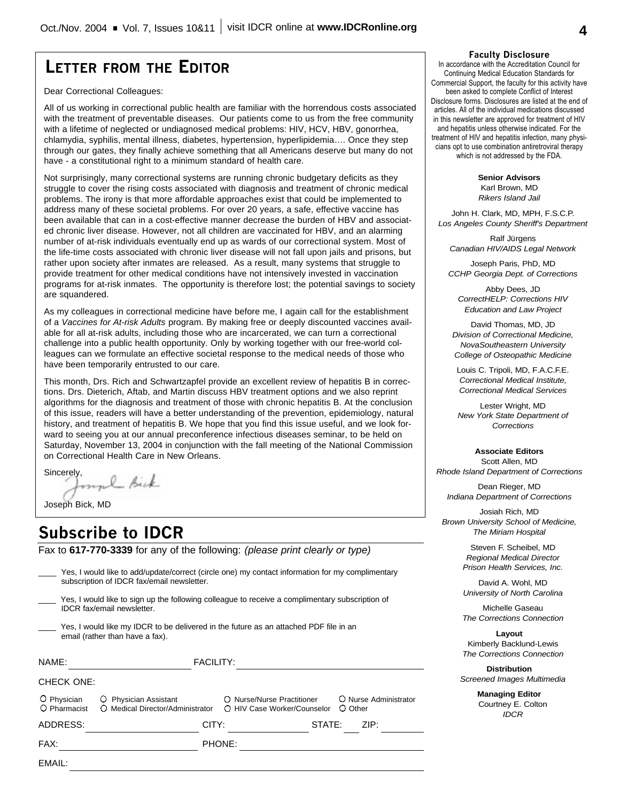# **LETTER FROM THE EDITOR**

Dear Correctional Colleagues:

All of us working in correctional public health are familiar with the horrendous costs associated with the treatment of preventable diseases. Our patients come to us from the free community with a lifetime of neglected or undiagnosed medical problems: HIV, HCV, HBV, gonorrhea, chlamydia, syphilis, mental illness, diabetes, hypertension, hyperlipidemia…. Once they step through our gates, they finally achieve something that all Americans deserve but many do not have - a constitutional right to a minimum standard of health care.

Not surprisingly, many correctional systems are running chronic budgetary deficits as they struggle to cover the rising costs associated with diagnosis and treatment of chronic medical problems. The irony is that more affordable approaches exist that could be implemented to address many of these societal problems. For over 20 years, a safe, effective vaccine has been available that can in a cost-effective manner decrease the burden of HBV and associated chronic liver disease. However, not all children are vaccinated for HBV, and an alarming number of at-risk individuals eventually end up as wards of our correctional system. Most of the life-time costs associated with chronic liver disease will not fall upon jails and prisons, but rather upon society after inmates are released. As a result, many systems that struggle to provide treatment for other medical conditions have not intensively invested in vaccination programs for at-risk inmates. The opportunity is therefore lost; the potential savings to society are squandered.

As my colleagues in correctional medicine have before me, I again call for the establishment of a *Vaccines for At-risk Adults* program. By making free or deeply discounted vaccines available for all at-risk adults, including those who are incarcerated, we can turn a correctional challenge into a public health opportunity. Only by working together with our free-world colleagues can we formulate an effective societal response to the medical needs of those who have been temporarily entrusted to our care.

This month, Drs. Rich and Schwartzapfel provide an excellent review of hepatitis B in corrections. Drs. Dieterich, Aftab, and Martin discuss HBV treatment options and we also reprint algorithms for the diagnosis and treatment of those with chronic hepatitis B. At the conclusion of this issue, readers will have a better understanding of the prevention, epidemiology, natural history, and treatment of hepatitis B. We hope that you find this issue useful, and we look forward to seeing you at our annual preconference infectious diseases seminar, to be held on Saturday, November 13, 2004 in conjunction with the fall meeting of the National Commission on Correctional Health Care in New Orleans.

Sincerely,<br>found Bick

Joseph Bick, MD

# **Subscribe to IDCR**

Fax to **617-770-3339** for any of the following: *(please print clearly or type)*

| EMAIL:                      |                                                           |                                                                                                  |  |  |
|-----------------------------|-----------------------------------------------------------|--------------------------------------------------------------------------------------------------|--|--|
| FAX:                        |                                                           | PHONE:                                                                                           |  |  |
| ADDRESS:                    | CITY:                                                     | ZIP:<br>STATE:                                                                                   |  |  |
| O Physician<br>O Pharmacist | O Physician Assistant<br>O Medical Director/Administrator | O Nurse Administrator<br>O Nurse/Nurse Practitioner<br>O HIV Case Worker/Counselor<br>O Other    |  |  |
| CHECK ONE:                  |                                                           |                                                                                                  |  |  |
| NAME:                       | <b>FACILITY:</b>                                          |                                                                                                  |  |  |
|                             | email (rather than have a fax).                           | Yes, I would like my IDCR to be delivered in the future as an attached PDF file in an            |  |  |
|                             | <b>IDCR</b> fax/email newsletter.                         | Yes, I would like to sign up the following colleague to receive a complimentary subscription of  |  |  |
|                             | subscription of IDCR fax/email newsletter.                | Yes, I would like to add/update/correct (circle one) my contact information for my complimentary |  |  |

### **Faculty Disclosure**

In accordance with the Accreditation Council for Continuing Medical Education Standards for Commercial Support, the faculty for this activity have been asked to complete Conflict of Interest Disclosure forms. Disclosures are listed at the end of articles. All of the individual medications discussed in this newsletter are approved for treatment of HIV and hepatitis unless otherwise indicated. For the treatment of HIV and hepatitis infection, many physicians opt to use combination antiretroviral therapy which is not addressed by the FDA.

**Senior Advisors**

Karl Brown, MD *Rikers Island Jail*

John H. Clark, MD, MPH, F.S.C.P. *Los Angeles County Sheriff's Department*

Ralf Jürgens *Canadian HIV/AIDS Legal Network*

Joseph Paris, PhD, MD *CCHP Georgia Dept. of Corrections*

Abby Dees, JD *CorrectHELP: Corrections HIV Education and Law Project*

David Thomas, MD, JD *Division of Correctional Medicine, NovaSoutheastern University College of Osteopathic Medicine*

Louis C. Tripoli, MD, F.A.C.F.E. *Correctional Medical Institute, Correctional Medical Services*

Lester Wright, MD *New York State Department of Corrections*

**Associate Editors** Scott Allen, MD *Rhode Island Department of Corrections*

Dean Rieger, MD *Indiana Department of Corrections*

Josiah Rich, MD *Brown University School of Medicine, The Miriam Hospital*

> Steven F. Scheibel, MD *Regional Medical Director Prison Health Services, Inc.*

> David A. Wohl, MD *University of North Carolina*

> Michelle Gaseau *The Corrections Connection*

> **Layout** Kimberly Backlund-Lewis *The Corrections Connection*

**Distribution** *Screened Images Multimedia*

> **Managing Editor** Courtney E. Colton *IDCR*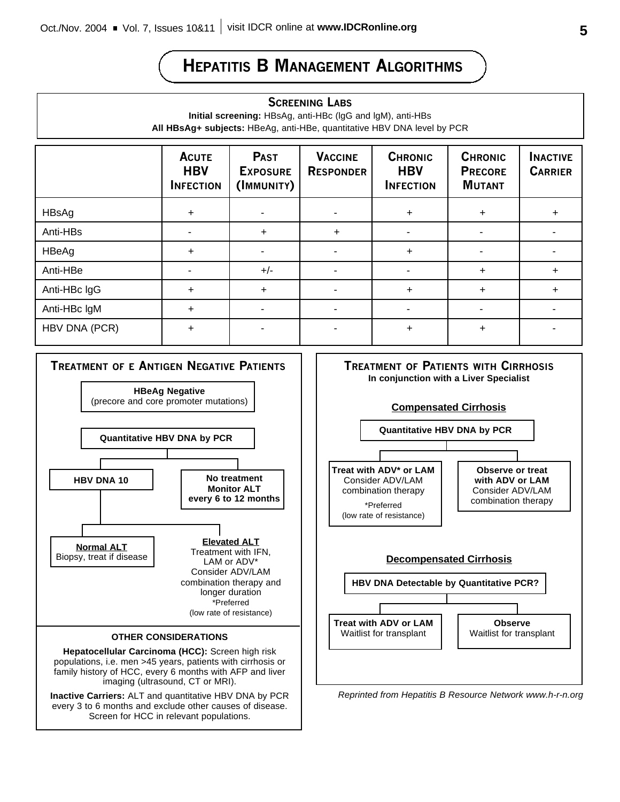# **HEPATITIS B MANAGEMENT ALGORITHMS**

### **SCREENING LABS**

**Initial screening:** HBsAg, anti-HBc (lgG and lgM), anti-HBs **All HBsAg+ subjects:** HBeAg, anti-HBe, quantitative HBV DNA level by PCR

|               | <b>ACUTE</b><br><b>HBV</b><br><b>INFECTION</b> | <b>PAST</b><br><b>EXPOSURE</b><br>(IMMUNITY) | <b>VACCINE</b><br><b>RESPONDER</b> | <b>CHRONIC</b><br><b>HBV</b><br><b>INFECTION</b> | <b>CHRONIC</b><br><b>PRECORE</b><br><b>MUTANT</b> | <b>INACTIVE</b><br><b>CARRIER</b> |
|---------------|------------------------------------------------|----------------------------------------------|------------------------------------|--------------------------------------------------|---------------------------------------------------|-----------------------------------|
| HBsAg         | $\ddot{}$                                      |                                              |                                    | $\ddot{}$                                        | $\ddot{}$                                         |                                   |
| Anti-HBs      |                                                | $\ddot{}$                                    | $\ddot{}$                          |                                                  |                                                   |                                   |
| HBeAg         | $\ddot{}$                                      |                                              |                                    | $+$                                              |                                                   |                                   |
| Anti-HBe      |                                                | $+/-$                                        |                                    |                                                  | $\ddot{}$                                         |                                   |
| Anti-HBc IgG  | $\ddot{}$                                      | $\ddot{}$                                    |                                    | $\ddot{}$                                        | $\ddot{}$                                         |                                   |
| Anti-HBc IgM  | $\ddot{}$                                      |                                              |                                    |                                                  |                                                   |                                   |
| HBV DNA (PCR) | $\ddot{}$                                      |                                              |                                    | $\ddot{}$                                        | $\ddot{}$                                         |                                   |



Screen for HCC in relevant populations.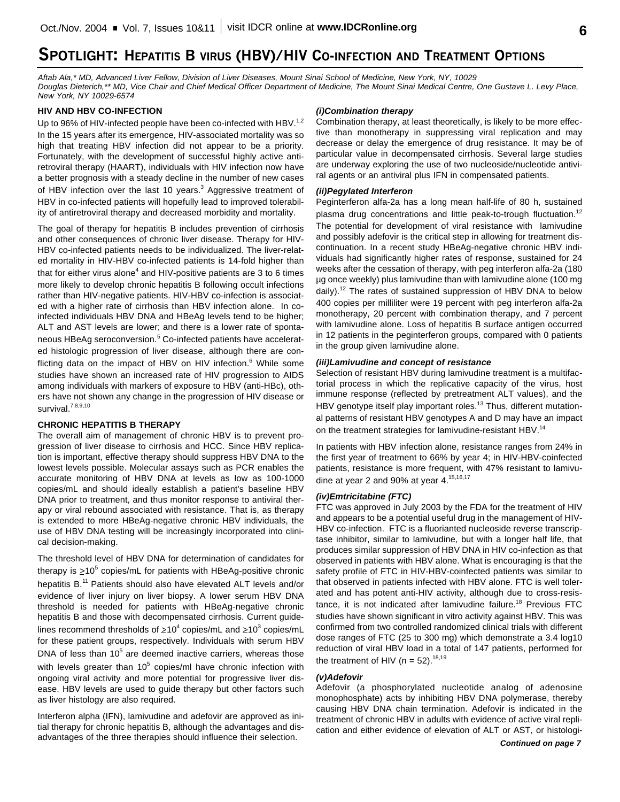# **SPOTLIGHT: HEPATITIS B VIRUS (HBV)/HIV CO-INFECTION AND TREATMENT OPTIONS**

*Aftab Ala,\* MD, Advanced Liver Fellow, Division of Liver Diseases, Mount Sinai School of Medicine, New York, NY, 10029 Douglas Dieterich,\*\* MD, Vice Chair and Chief Medical Officer Department of Medicine, The Mount Sinai Medical Centre, One Gustave L. Levy Place, New York, NY 10029-6574*

#### **HIV AND HBV CO-INFECTION**

Up to 96% of HIV-infected people have been co-infected with HBV.<sup>1,2</sup> In the 15 years after its emergence, HIV-associated mortality was so high that treating HBV infection did not appear to be a priority. Fortunately, with the development of successful highly active antiretroviral therapy (HAART), individuals with HIV infection now have a better prognosis with a steady decline in the number of new cases of HBV infection over the last 10 years.<sup>3</sup> Aggressive treatment of HBV in co-infected patients will hopefully lead to improved tolerability of antiretroviral therapy and decreased morbidity and mortality.

The goal of therapy for hepatitis B includes prevention of cirrhosis and other consequences of chronic liver disease. Therapy for HIV-HBV co-infected patients needs to be individualized. The liver-related mortality in HIV-HBV co-infected patients is 14-fold higher than that for either virus alone<sup>4</sup> and HIV-positive patients are 3 to 6 times more likely to develop chronic hepatitis B following occult infections rather than HIV-negative patients. HIV-HBV co-infection is associated with a higher rate of cirrhosis than HBV infection alone. In coinfected individuals HBV DNA and HBeAg levels tend to be higher; ALT and AST levels are lower; and there is a lower rate of spontaneous HBeAg seroconversion. <sup>5</sup> Co-infected patients have accelerated histologic progression of liver disease, although there are conflicting data on the impact of HBV on HIV infection.<sup>6</sup> While some studies have shown an increased rate of HIV progression to AIDS among individuals with markers of exposure to HBV (anti-HBc), others have not shown any change in the progression of HIV disease or survival.<sup>7,8,9,10</sup>

#### **CHRONIC HEPATITIS B THERAPY**

The overall aim of management of chronic HBV is to prevent progression of liver disease to cirrhosis and HCC. Since HBV replication is important, effective therapy should suppress HBV DNA to the lowest levels possible. Molecular assays such as PCR enables the accurate monitoring of HBV DNA at levels as low as 100-1000 copies/mL and should ideally establish a patient's baseline HBV DNA prior to treatment, and thus monitor response to antiviral therapy or viral rebound associated with resistance. That is, as therapy is extended to more HBeAg-negative chronic HBV individuals, the use of HBV DNA testing will be increasingly incorporated into clinical decision-making.

The threshold level of HBV DNA for determination of candidates for therapy is  $\geq$ 10<sup>5</sup> copies/mL for patients with HBeAg-positive chronic hepatitis B.<sup>11</sup> Patients should also have elevated ALT levels and/or evidence of liver injury on liver biopsy. A lower serum HBV DNA threshold is needed for patients with HBeAg-negative chronic hepatitis B and those with decompensated cirrhosis. Current guidelines recommend thresholds of  $\geq 10^4$  copies/mL and  $\geq 10^3$  copies/mL for these patient groups, respectively. Individuals with serum HBV DNA of less than  $10^5$  are deemed inactive carriers, whereas those with levels greater than  $10^5$  copies/ml have chronic infection with ongoing viral activity and more potential for progressive liver disease. HBV levels are used to guide therapy but other factors such as liver histology are also required.

Interferon alpha (IFN), lamivudine and adefovir are approved as initial therapy for chronic hepatitis B, although the advantages and disadvantages of the three therapies should influence their selection.

#### *(i)Combination therapy*

Combination therapy, at least theoretically, is likely to be more effective than monotherapy in suppressing viral replication and may decrease or delay the emergence of drug resistance. It may be of particular value in decompensated cirrhosis. Several large studies are underway exploring the use of two nucleoside/nucleotide antiviral agents or an antiviral plus IFN in compensated patients.

#### *(ii)Pegylated Interferon*

Peginterferon alfa-2a has a long mean half-life of 80 h, sustained plasma drug concentrations and little peak-to-trough fluctuation.<sup>12</sup> The potential for development of viral resistance with lamivudine and possibly adefovir is the critical step in allowing for treatment discontinuation. In a recent study HBeAg-negative chronic HBV individuals had significantly higher rates of response, sustained for 24 weeks after the cessation of therapy, with peg interferon alfa-2a (180 µg once weekly) plus lamivudine than with lamivudine alone (100 mg daily).<sup>12</sup> The rates of sustained suppression of HBV DNA to below 400 copies per milliliter were 19 percent with peg interferon alfa-2a monotherapy, 20 percent with combination therapy, and 7 percent with lamivudine alone. Loss of hepatitis B surface antigen occurred in 12 patients in the peginterferon groups, compared with 0 patients in the group given lamivudine alone.

#### *(iii)Lamivudine and concept of resistance*

Selection of resistant HBV during lamivudine treatment is a multifactorial process in which the replicative capacity of the virus, host immune response (reflected by pretreatment ALT values), and the HBV genotype itself play important roles.<sup>13</sup> Thus, different mutational patterns of resistant HBV genotypes A and D may have an impact on the treatment strategies for lamivudine-resistant HBV.<sup>14</sup>

In patients with HBV infection alone, resistance ranges from 24% in the first year of treatment to 66% by year 4; in HIV-HBV-coinfected patients, resistance is more frequent, with 47% resistant to lamivudine at year 2 and 90% at year 4.<sup>15,16,17</sup>

#### *(iv)Emtricitabine (FTC)*

FTC was approved in July 2003 by the FDA for the treatment of HIV and appears to be a potential useful drug in the management of HIV-HBV co-infection. FTC is a fluorianted nucleoside reverse transcriptase inhibitor, similar to lamivudine, but with a longer half life, that produces similar suppression of HBV DNA in HIV co-infection as that observed in patients with HBV alone. What is encouraging is that the safety profile of FTC in HIV-HBV-coinfected patients was similar to that observed in patients infected with HBV alone. FTC is well tolerated and has potent anti-HIV activity, although due to cross-resistance, it is not indicated after lamivudine failure.<sup>18</sup> Previous FTC studies have shown significant in vitro activity against HBV. This was confirmed from two controlled randomized clinical trials with different dose ranges of FTC (25 to 300 mg) which demonstrate a 3.4 log10 reduction of viral HBV load in a total of 147 patients, performed for the treatment of HIV (n = 52).<sup>18,19</sup>

#### *(v)Adefovir*

Adefovir (a phosphorylated nucleotide analog of adenosine monophosphate) acts by inhibiting HBV DNA polymerase, thereby causing HBV DNA chain termination. Adefovir is indicated in the treatment of chronic HBV in adults with evidence of active viral replication and either evidence of elevation of ALT or AST, or histologi-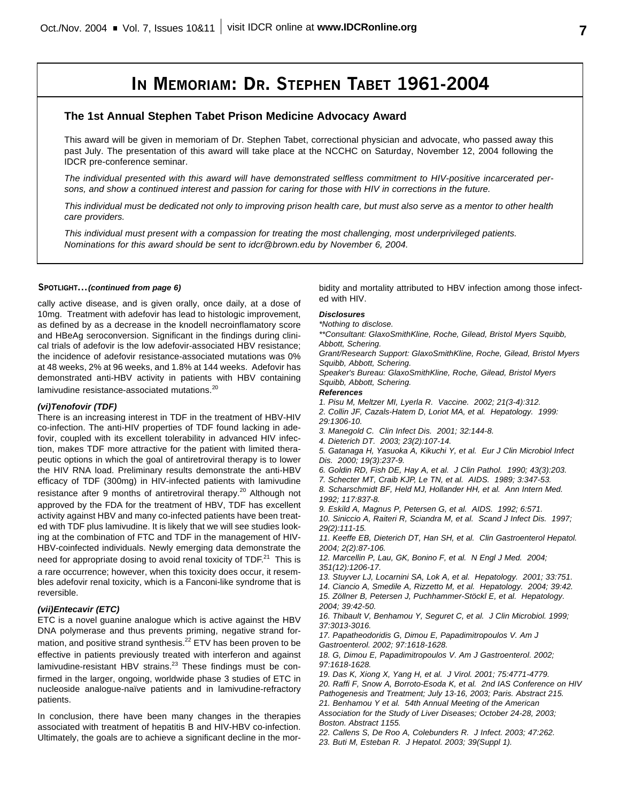# **IN MEMORIAM: DR. STEPHEN TABET 1961-2004**

### **The 1st Annual Stephen Tabet Prison Medicine Advocacy Award**

This award will be given in memoriam of Dr. Stephen Tabet, correctional physician and advocate, who passed away this past July. The presentation of this award will take place at the NCCHC on Saturday, November 12, 2004 following the IDCR pre-conference seminar.

*The individual presented with this award will have demonstrated selfless commitment to HIV-positive incarcerated persons, and show a continued interest and passion for caring for those with HIV in corrections in the future.*

*This individual must be dedicated not only to improving prison health care, but must also serve as a mentor to other health care providers.*

*This individual must present with a compassion for treating the most challenging, most underprivileged patients. Nominations for this award should be sent to idcr@brown.edu by November 6, 2004.*

#### **SPOTLIGHT...***(continued from page 6)*

cally active disease, and is given orally, once daily, at a dose of 10mg. Treatment with adefovir has lead to histologic improvement, as defined by as a decrease in the knodell necroinflamatory score and HBeAg seroconversion. Significant in the findings during clinical trials of adefovir is the low adefovir-associated HBV resistance; the incidence of adefovir resistance-associated mutations was 0% at 48 weeks, 2% at 96 weeks, and 1.8% at 144 weeks. Adefovir has demonstrated anti-HBV activity in patients with HBV containing lamivudine resistance-associated mutations.<sup>20</sup>

#### *(vi)Tenofovir (TDF)*

There is an increasing interest in TDF in the treatment of HBV-HIV co-infection. The anti-HIV properties of TDF found lacking in adefovir, coupled with its excellent tolerability in advanced HIV infection, makes TDF more attractive for the patient with limited therapeutic options in which the goal of antiretroviral therapy is to lower the HIV RNA load. Preliminary results demonstrate the anti-HBV efficacy of TDF (300mg) in HIV-infected patients with lamivudine resistance after 9 months of antiretroviral therapy.<sup>20</sup> Although not approved by the FDA for the treatment of HBV, TDF has excellent activity against HBV and many co-infected patients have been treated with TDF plus lamivudine. It is likely that we will see studies looking at the combination of FTC and TDF in the management of HIV-HBV-coinfected individuals. Newly emerging data demonstrate the need for appropriate dosing to avoid renal toxicity of  $\text{TDF}^{21}$  This is a rare occurrence; however, when this toxicity does occur, it resembles adefovir renal toxicity, which is a Fanconi-like syndrome that is reversible.

#### *(vii)Entecavir (ETC)*

ETC is a novel guanine analogue which is active against the HBV DNA polymerase and thus prevents priming, negative strand formation, and positive strand synthesis.<sup>22</sup> ETV has been proven to be effective in patients previously treated with interferon and against lamivudine-resistant HBV strains.<sup>23</sup> These findings must be confirmed in the larger, ongoing, worldwide phase 3 studies of ETC in nucleoside analogue-naïve patients and in lamivudine-refractory patients.

In conclusion, there have been many changes in the therapies associated with treatment of hepatitis B and HIV-HBV co-infection. Ultimately, the goals are to achieve a significant decline in the morbidity and mortality attributed to HBV infection among those infected with HIV.

#### *Disclosures*

*\*Nothing to disclose.*

*\*\*Consultant: GlaxoSmithKline, Roche, Gilead, Bristol Myers Squibb, Abbott, Schering.*

*Grant/Research Support: GlaxoSmithKline, Roche, Gilead, Bristol Myers Squibb, Abbott, Schering.*

*Speaker's Bureau: GlaxoSmithKline, Roche, Gilead, Bristol Myers Squibb, Abbott, Schering.*

#### *References*

- *1. Pisu M, Meltzer MI, Lyerla R. Vaccine. 2002; 21(3-4):312.*
- *2. Collin JF, Cazals-Hatem D, Loriot MA, et al. Hepatology. 1999: 29:1306-10.*
- *3. Manegold C. Clin Infect Dis. 2001; 32:144-8.*
- *4. Dieterich DT. 2003; 23(2):107-14.*

*5. Gatanaga H, Yasuoka A, Kikuchi Y, et al. Eur J Clin Microbiol Infect Dis. 2000; 19(3):237-9.*

- *6. Goldin RD, Fish DE, Hay A, et al. J Clin Pathol. 1990; 43(3):203.*
- *7. Schecter MT, Craib KJP, Le TN, et al. AIDS. 1989; 3:347-53.*

*8. Scharschmidt BF, Held MJ, Hollander HH, et al. Ann Intern Med. 1992; 117:837-8.*

*9. Eskild A, Magnus P, Petersen G, et al. AIDS. 1992; 6:571.*

*10. Siniccio A, Raiteri R, Sciandra M, et al. Scand J Infect Dis. 1997; 29(2):111-15.*

*11. Keeffe EB, Dieterich DT, Han SH, et al. Clin Gastroenterol Hepatol. 2004; 2(2):87-106.*

*12. Marcellin P, Lau, GK, Bonino F, et al. N Engl J Med. 2004; 351(12):1206-17.*

- *13. Stuyver LJ, Locarnini SA, Lok A, et al. Hepatology. 2001; 33:751.*
- *14. Ciancio A, Smedile A, Rizzetto M, et al. Hepatology. 2004; 39:42.*
- *15. Zöllner B, Petersen J, Puchhammer-Stöckl E, et al. Hepatology.*
- *2004; 39:42-50.*

*16. Thibault V, Benhamou Y, Seguret C, et al. J Clin Microbiol. 1999; 37:3013-3016.*

*17. Papatheodoridis G, Dimou E, Papadimitropoulos V. Am J Gastroenterol. 2002; 97:1618-1628.*

*18. G, Dimou E, Papadimitropoulos V. Am J Gastroenterol. 2002; 97:1618-1628.*

*19. Das K, Xiong X, Yang H, et al. J Virol. 2001; 75:4771-4779.*

*20. Raffi F, Snow A, Borroto-Esoda K, et al. 2nd IAS Conference on HIV Pathogenesis and Treatment; July 13-16, 2003; Paris. Abstract 215. 21. Benhamou Y et al. 54th Annual Meeting of the American*

*Association for the Study of Liver Diseases; October 24-28, 2003; Boston. Abstract 1155.*

*22. Callens S, De Roo A, Colebunders R. J Infect. 2003; 47:262.*

*23. Buti M, Esteban R. J Hepatol. 2003; 39(Suppl 1).*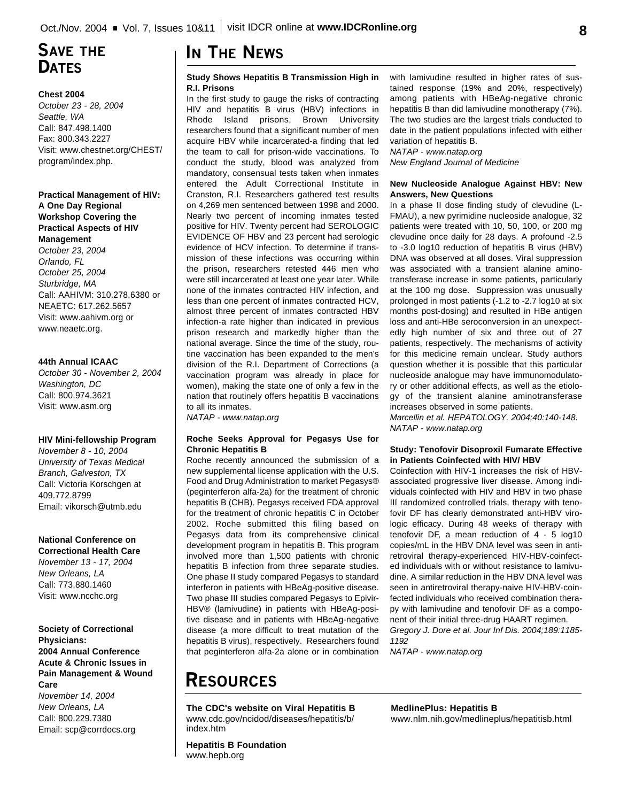# **SAVE THE DATES**

#### **Chest 2004**

*October 23 - 28, 2004 Seattle, WA* Call: 847.498.1400 Fax: 800.343.2227 Visit: www.chestnet.org/CHEST/ program/index.php.

### **Practical Management of HIV: A One Day Regional Workshop Covering the Practical Aspects of HIV Management**

*October 23, 2004 Orlando, FL October 25, 2004 Sturbridge, MA* Call: AAHIVM: 310.278.6380 or NEAETC: 617.262.5657 Visit: www.aahivm.org or www.neaetc.org.

#### **44th Annual ICAAC**

*October 30 - November 2, 2004 Washington, DC* Call: 800.974.3621 Visit: www.asm.org

#### **HIV Mini-fellowship Program**

*November 8 - 10, 2004 University of Texas Medical Branch, Galveston, TX* Call: Victoria Korschgen at 409.772.8799 Email: vikorsch@utmb.edu

### **National Conference on**

**Correctional Health Care** *November 13 - 17, 2004 New Orleans, LA* Call: 773.880.1460 Visit: www.ncchc.org

## **Society of Correctional**

**Physicians: 2004 Annual Conference Acute & Chronic Issues in Pain Management & Wound Care**

*November 14, 2004 New Orleans, LA* Call: 800.229.7380 Email: scp@corrdocs.org

# **IN THE NEWS**

#### **Study Shows Hepatitis B Transmission High in R.I. Prisons**

In the first study to gauge the risks of contracting HIV and hepatitis B virus (HBV) infections in Rhode Island prisons, Brown University researchers found that a significant number of men acquire HBV while incarcerated-a finding that led the team to call for prison-wide vaccinations. To conduct the study, blood was analyzed from mandatory, consensual tests taken when inmates entered the Adult Correctional Institute in Cranston, R.I. Researchers gathered test results on 4,269 men sentenced between 1998 and 2000. Nearly two percent of incoming inmates tested positive for HIV. Twenty percent had SEROLOGIC EVIDENCE OF HBV and 23 percent had serologic evidence of HCV infection. To determine if transmission of these infections was occurring within the prison, researchers retested 446 men who were still incarcerated at least one year later. While none of the inmates contracted HIV infection, and less than one percent of inmates contracted HCV, almost three percent of inmates contracted HBV infection-a rate higher than indicated in previous prison research and markedly higher than the national average. Since the time of the study, routine vaccination has been expanded to the men's division of the R.I. Department of Corrections (a vaccination program was already in place for women), making the state one of only a few in the nation that routinely offers hepatitis B vaccinations to all its inmates.

*NATAP - www.natap.org*

#### **Roche Seeks Approval for Pegasys Use for Chronic Hepatitis B**

Roche recently announced the submission of a new supplemental license application with the U.S. Food and Drug Administration to market Pegasys® (peginterferon alfa-2a) for the treatment of chronic hepatitis B (CHB). Pegasys received FDA approval for the treatment of chronic hepatitis C in October 2002. Roche submitted this filing based on Pegasys data from its comprehensive clinical development program in hepatitis B. This program involved more than 1,500 patients with chronic hepatitis B infection from three separate studies. One phase II study compared Pegasys to standard interferon in patients with HBeAg-positive disease. Two phase III studies compared Pegasys to Epivir-HBV® (lamivudine) in patients with HBeAg-positive disease and in patients with HBeAg-negative disease (a more difficult to treat mutation of the hepatitis B virus), respectively. Researchers found that peginterferon alfa-2a alone or in combination with lamivudine resulted in higher rates of sustained response (19% and 20%, respectively) among patients with HBeAg-negative chronic hepatitis B than did lamivudine monotherapy (7%). The two studies are the largest trials conducted to date in the patient populations infected with either variation of hepatitis B.

*NATAP - www.natap.org New England Journal of Medicine*

#### **New Nucleoside Analogue Against HBV: New Answers, New Questions**

In a phase II dose finding study of clevudine (L-FMAU), a new pyrimidine nucleoside analogue, 32 patients were treated with 10, 50, 100, or 200 mg clevudine once daily for 28 days. A profound -2.5 to -3.0 log10 reduction of hepatitis B virus (HBV) DNA was observed at all doses. Viral suppression was associated with a transient alanine aminotransferase increase in some patients, particularly at the 100 mg dose. Suppression was unusually prolonged in most patients (-1.2 to -2.7 log10 at six months post-dosing) and resulted in HBe antigen loss and anti-HBe seroconversion in an unexpectedly high number of six and three out of 27 patients, respectively. The mechanisms of activity for this medicine remain unclear. Study authors question whether it is possible that this particular nucleoside analogue may have immunomodulatory or other additional effects, as well as the etiology of the transient alanine aminotransferase increases observed in some patients.

*Marcellin et al. HEPATOLOGY. 2004;40:140-148. NATAP - www.natap.org*

#### **Study: Tenofovir Disoproxil Fumarate Effective in Patients Coinfected with HIV/ HBV**

Coinfection with HIV-1 increases the risk of HBVassociated progressive liver disease. Among individuals coinfected with HIV and HBV in two phase III randomized controlled trials, therapy with tenofovir DF has clearly demonstrated anti-HBV virologic efficacy. During 48 weeks of therapy with tenofovir DF, a mean reduction of 4 - 5 log10 copies/mL in the HBV DNA level was seen in antiretroviral therapy-experienced HIV-HBV-coinfected individuals with or without resistance to lamivudine. A similar reduction in the HBV DNA level was seen in antiretroviral therapy-naive HIV-HBV-coinfected individuals who received combination therapy with lamivudine and tenofovir DF as a component of their initial three-drug HAART regimen.

*Gregory J. Dore et al. Jour Inf Dis. 2004;189:1185- 1192*

*NATAP - www.natap.org*

# **RESOURCES**

**The CDC's website on Viral Hepatitis B** www.cdc.gov/ncidod/diseases/hepatitis/b/ index.htm

**Hepatitis B Foundation** www.hepb.org

**MedlinePlus: Hepatitis B** www.nlm.nih.gov/medlineplus/hepatitisb.html